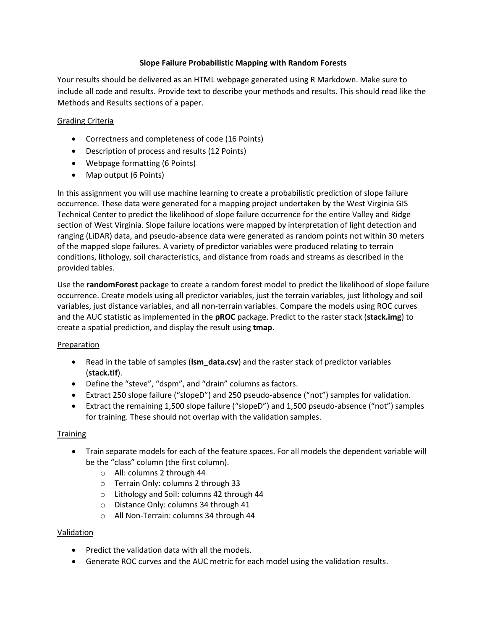## **Slope Failure Probabilistic Mapping with Random Forests**

Your results should be delivered as an HTML webpage generated using R Markdown. Make sure to include all code and results. Provide text to describe your methods and results. This should read like the Methods and Results sections of a paper.

# Grading Criteria

- Correctness and completeness of code (16 Points)
- Description of process and results (12 Points)
- Webpage formatting (6 Points)
- Map output (6 Points)

In this assignment you will use machine learning to create a probabilistic prediction of slope failure occurrence. These data were generated for a mapping project undertaken by the West Virginia GIS Technical Center to predict the likelihood of slope failure occurrence for the entire Valley and Ridge section of West Virginia. Slope failure locations were mapped by interpretation of light detection and ranging (LiDAR) data, and pseudo-absence data were generated as random points not within 30 meters of the mapped slope failures. A variety of predictor variables were produced relating to terrain conditions, lithology, soil characteristics, and distance from roads and streams as described in the provided tables.

Use the **randomForest** package to create a random forest model to predict the likelihood of slope failure occurrence. Create models using all predictor variables, just the terrain variables, just lithology and soil variables, just distance variables, and all non-terrain variables. Compare the models using ROC curves and the AUC statistic as implemented in the **pROC** package. Predict to the raster stack (**stack.img**) to create a spatial prediction, and display the result using **tmap**.

### Preparation

- Read in the table of samples (**lsm\_data.csv**) and the raster stack of predictor variables (**stack.tif**).
- Define the "steve", "dspm", and "drain" columns as factors.
- Extract 250 slope failure ("slopeD") and 250 pseudo-absence ("not") samples for validation.
- Extract the remaining 1,500 slope failure ("slopeD") and 1,500 pseudo-absence ("not") samples for training. These should not overlap with the validation samples.

### **Training**

- Train separate models for each of the feature spaces. For all models the dependent variable will be the "class" column (the first column).
	- o All: columns 2 through 44
	- o Terrain Only: columns 2 through 33
	- o Lithology and Soil: columns 42 through 44
	- o Distance Only: columns 34 through 41
	- o All Non-Terrain: columns 34 through 44

### Validation

- Predict the validation data with all the models.
- Generate ROC curves and the AUC metric for each model using the validation results.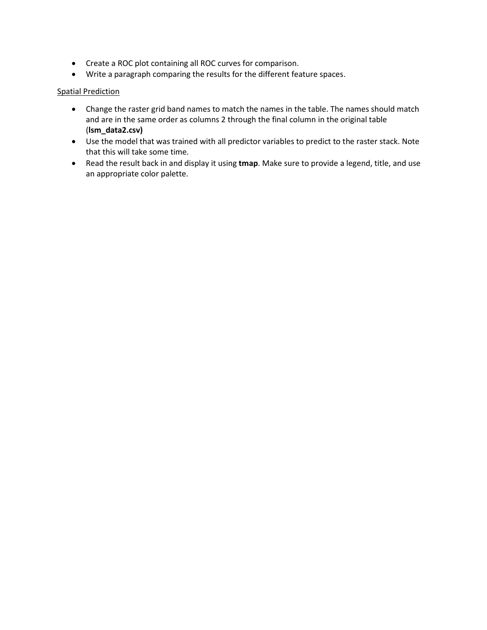- Create a ROC plot containing all ROC curves for comparison.
- Write a paragraph comparing the results for the different feature spaces.

### Spatial Prediction

- Change the raster grid band names to match the names in the table. The names should match and are in the same order as columns 2 through the final column in the original table (**lsm\_data2.csv)**
- Use the model that was trained with all predictor variables to predict to the raster stack. Note that this will take some time.
- Read the result back in and display it using **tmap**. Make sure to provide a legend, title, and use an appropriate color palette.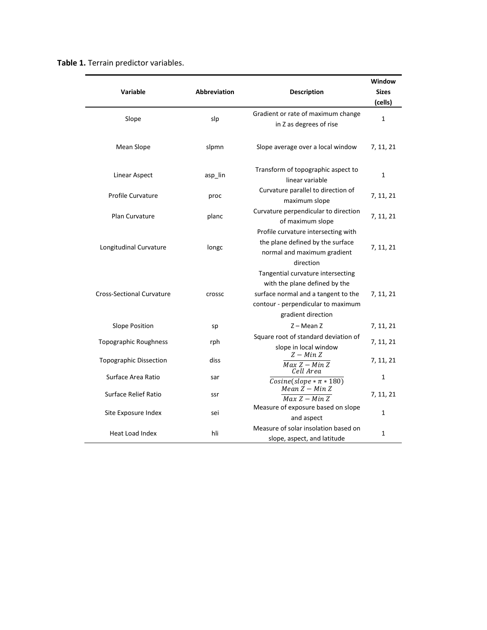|  |  | Table 1. Terrain predictor variables. |  |
|--|--|---------------------------------------|--|
|--|--|---------------------------------------|--|

| Variable                         | Abbreviation | <b>Description</b>                                                                                                                                                    | Window<br><b>Sizes</b><br>(cells) |
|----------------------------------|--------------|-----------------------------------------------------------------------------------------------------------------------------------------------------------------------|-----------------------------------|
| Slope                            | slp          | Gradient or rate of maximum change<br>in Z as degrees of rise                                                                                                         | 1                                 |
| Mean Slope                       | slpmn        | Slope average over a local window                                                                                                                                     | 7, 11, 21                         |
| Linear Aspect                    | asp lin      | Transform of topographic aspect to<br>linear variable                                                                                                                 | 1                                 |
| Profile Curvature                | proc         | Curvature parallel to direction of<br>maximum slope                                                                                                                   | 7, 11, 21                         |
| Plan Curvature                   | planc        | Curvature perpendicular to direction<br>of maximum slope                                                                                                              | 7, 11, 21                         |
| Longitudinal Curvature           | longc        | Profile curvature intersecting with<br>the plane defined by the surface<br>normal and maximum gradient<br>direction                                                   | 7, 11, 21                         |
| <b>Cross-Sectional Curvature</b> | crossc       | Tangential curvature intersecting<br>with the plane defined by the<br>surface normal and a tangent to the<br>contour - perpendicular to maximum<br>gradient direction | 7, 11, 21                         |
| <b>Slope Position</b>            | sp           | $Z - Mean Z$                                                                                                                                                          | 7, 11, 21                         |
| <b>Topographic Roughness</b>     | rph          | Square root of standard deviation of<br>slope in local window<br>$Z - Min Z$                                                                                          | 7, 11, 21                         |
| <b>Topographic Dissection</b>    | diss         | $\overline{Max Z - Min Z}$<br>Cell Area                                                                                                                               | 7, 11, 21                         |
| Surface Area Ratio               | sar          | $Cosine(slope * \pi * 180)$                                                                                                                                           | 1                                 |
| <b>Surface Relief Ratio</b>      | ssr          | $Mean Z - Min Z$<br>$Max Z - Min Z$                                                                                                                                   | 7, 11, 21                         |
| Site Exposure Index              | sei          | Measure of exposure based on slope<br>and aspect                                                                                                                      | 1                                 |
| Heat Load Index                  | hli          | Measure of solar insolation based on<br>slope, aspect, and latitude                                                                                                   | 1                                 |